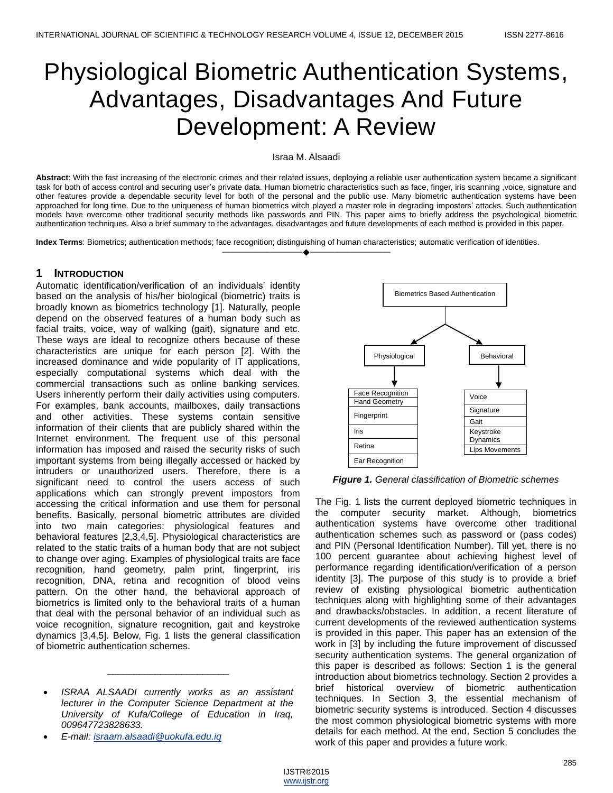# Physiological Biometric Authentication Systems, Advantages, Disadvantages And Future Development: A Review

#### Israa M. Alsaadi

**Abstract**: With the fast increasing of the electronic crimes and their related issues, deploying a reliable user authentication system became a significant task for both of access control and securing user's private data. Human biometric characteristics such as face, finger, iris scanning ,voice, signature and other features provide a dependable security level for both of the personal and the public use. Many biometric authentication systems have been approached for long time. Due to the uniqueness of human biometrics witch played a master role in degrading imposters' attacks. Such authentication models have overcome other traditional security methods like passwords and PIN. This paper aims to briefly address the psychological biometric authentication techniques. Also a brief summary to the advantages, disadvantages and future developments of each method is provided in this paper.

————————————————————

**Index Terms**: Biometrics; authentication methods; face recognition; distinguishing of human characteristics; automatic verification of identities.

## **1 INTRODUCTION**

Automatic identification/verification of an individuals' identity based on the analysis of his/her biological (biometric) traits is broadly known as biometrics technology [1]. Naturally, people depend on the observed features of a human body such as facial traits, voice, way of walking (gait), signature and etc. These ways are ideal to recognize others because of these characteristics are unique for each person [2]. With the increased dominance and wide popularity of IT applications, especially computational systems which deal with the commercial transactions such as online banking services. Users inherently perform their daily activities using computers. For examples, bank accounts, mailboxes, daily transactions and other activities. These systems contain sensitive information of their clients that are publicly shared within the Internet environment. The frequent use of this personal information has imposed and raised the security risks of such important systems from being illegally accessed or hacked by intruders or unauthorized users. Therefore, there is a significant need to control the users access of such applications which can strongly prevent impostors from accessing the critical information and use them for personal benefits. Basically, personal biometric attributes are divided into two main categories: physiological features and behavioral features [2,3,4,5]. Physiological characteristics are related to the static traits of a human body that are not subject to change over aging. Examples of physiological traits are face recognition, hand geometry, palm print, fingerprint, iris recognition, DNA, retina and recognition of blood veins pattern. On the other hand, the behavioral approach of biometrics is limited only to the behavioral traits of a human that deal with the personal behavior of an individual such as voice recognition, signature recognition, gait and keystroke dynamics [3,4,5]. Below, Fig. 1 lists the general classification of biometric authentication schemes.

 *ISRAA ALSAADI currently works as an assistant lecturer in the Computer Science Department at the University of Kufa/College of Education in Iraq, 009647723828633.*

\_\_\_\_\_\_\_\_\_\_\_\_\_\_\_\_\_\_\_\_\_\_\_

*E-mail: [israam.alsaadi@uokufa.edu.iq](mailto:israam.alsaadi@uokufa.edu.iq)*



*Figure 1. General classification of Biometric schemes*

The Fig. 1 lists the current deployed biometric techniques in the computer security market. Although, biometrics authentication systems have overcome other traditional authentication schemes such as password or (pass codes) and PIN (Personal Identification Number). Till yet, there is no 100 percent guarantee about achieving highest level of performance regarding identification/verification of a person identity [3]. The purpose of this study is to provide a brief review of existing physiological biometric authentication techniques along with highlighting some of their advantages and drawbacks/obstacles. In addition, a recent literature of current developments of the reviewed authentication systems is provided in this paper. This paper has an extension of the work in [3] by including the future improvement of discussed security authentication systems. The general organization of this paper is described as follows: Section 1 is the general introduction about biometrics technology. Section 2 provides a brief historical overview of biometric authentication techniques. In Section 3, the essential mechanism of biometric security systems is introduced. Section 4 discusses the most common physiological biometric systems with more details for each method. At the end, Section 5 concludes the work of this paper and provides a future work.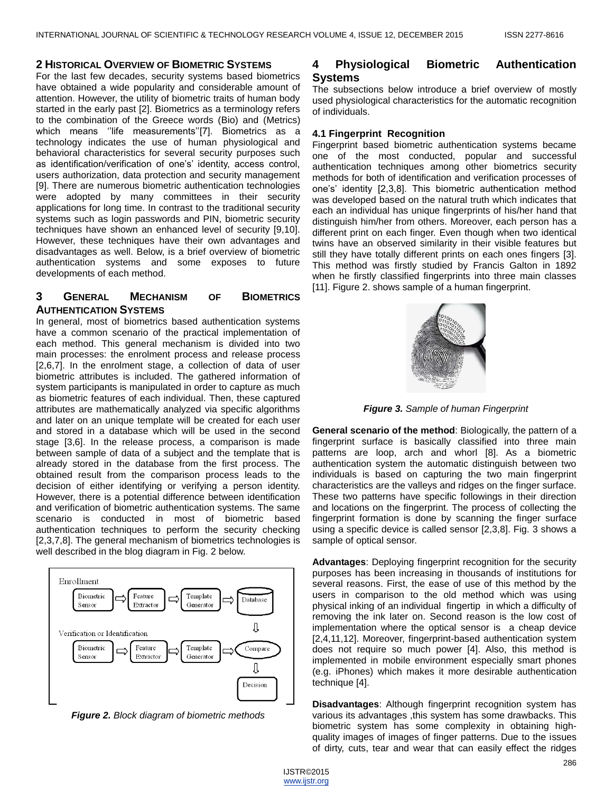## **2 HISTORICAL OVERVIEW OF BIOMETRIC SYSTEMS**

For the last few decades, security systems based biometrics have obtained a wide popularity and considerable amount of attention. However, the utility of biometric traits of human body started in the early past [2]. Biometrics as a terminology refers to the combination of the Greece words (Bio) and (Metrics) which means "life measurements"[7]. Biometrics as a technology indicates the use of human physiological and behavioral characteristics for several security purposes such as identification/verification of one's' identity, access control, users authorization, data protection and security management [9]. There are numerous biometric authentication technologies were adopted by many committees in their security applications for long time. In contrast to the traditional security systems such as login passwords and PIN, biometric security techniques have shown an enhanced level of security [9,10]. However, these techniques have their own advantages and disadvantages as well. Below, is a brief overview of biometric authentication systems and some exposes to future developments of each method.

# **3 GENERAL MECHANISM OF BIOMETRICS AUTHENTICATION SYSTEMS**

In general, most of biometrics based authentication systems have a common scenario of the practical implementation of each method. This general mechanism is divided into two main processes: the enrolment process and release process [2,6,7]. In the enrolment stage, a collection of data of user biometric attributes is included. The gathered information of system participants is manipulated in order to capture as much as biometric features of each individual. Then, these captured attributes are mathematically analyzed via specific algorithms and later on an unique template will be created for each user and stored in a database which will be used in the second stage [3,6]. In the release process, a comparison is made between sample of data of a subject and the template that is already stored in the database from the first process. The obtained result from the comparison process leads to the decision of either identifying or verifying a person identity. However, there is a potential difference between identification and verification of biometric authentication systems. The same scenario is conducted in most of biometric based authentication techniques to perform the security checking [2,3,7,8]. The general mechanism of biometrics technologies is well described in the blog diagram in Fig. 2 below.



*Figure 2. Block diagram of biometric methods*

# **4 Physiological Biometric Authentication Systems**

The subsections below introduce a brief overview of mostly used physiological characteristics for the automatic recognition of individuals.

#### **4.1 Fingerprint Recognition**

Fingerprint based biometric authentication systems became one of the most conducted, popular and successful authentication techniques among other biometrics security methods for both of identification and verification processes of one's' identity [2,3,8]. This biometric authentication method was developed based on the natural truth which indicates that each an individual has unique fingerprints of his/her hand that distinguish him/her from others. Moreover, each person has a different print on each finger. Even though when two identical twins have an observed similarity in their visible features but still they have totally different prints on each ones fingers [3]. This method was firstly studied by Francis Galton in 1892 when he firstly classified fingerprints into three main classes [11]. Figure 2. shows sample of a human fingerprint.



*Figure 3. Sample of human Fingerprint* 

**General scenario of the method**: Biologically, the pattern of a fingerprint surface is basically classified into three main patterns are loop, arch and whorl [8]. As a biometric authentication system the automatic distinguish between two individuals is based on capturing the two main fingerprint characteristics are the valleys and ridges on the finger surface. These two patterns have specific followings in their direction and locations on the fingerprint. The process of collecting the fingerprint formation is done by scanning the finger surface using a specific device is called sensor [2,3,8]. Fig. 3 shows a sample of optical sensor.

**Advantages**: Deploying fingerprint recognition for the security purposes has been increasing in thousands of institutions for several reasons. First, the ease of use of this method by the users in comparison to the old method which was using physical inking of an individual fingertip in which a difficulty of removing the ink later on. Second reason is the low cost of implementation where the optical sensor is a cheap device [2,4,11,12]. Moreover, fingerprint-based authentication system does not require so much power [4]. Also, this method is implemented in mobile environment especially smart phones (e.g. iPhones) which makes it more desirable authentication technique [4].

**Disadvantages**: Although fingerprint recognition system has various its advantages ,this system has some drawbacks. This biometric system has some complexity in obtaining highquality images of images of finger patterns. Due to the issues of dirty, cuts, tear and wear that can easily effect the ridges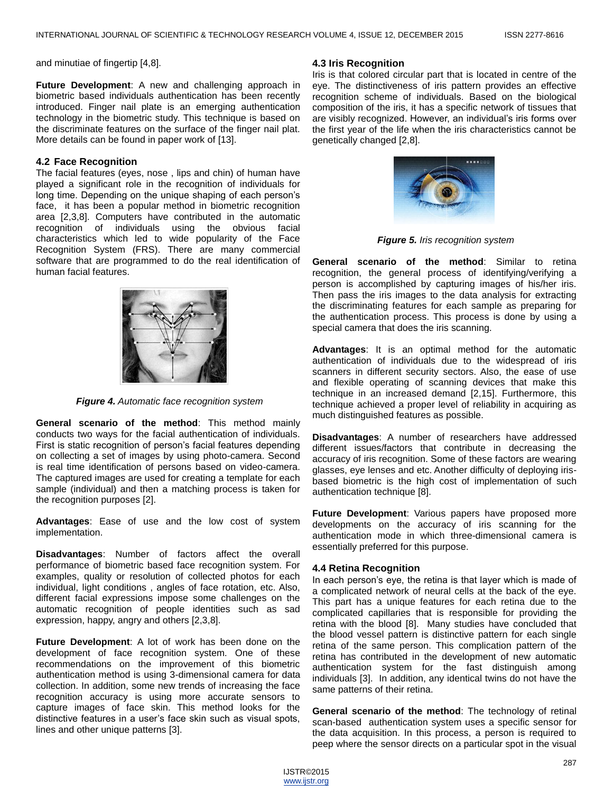and minutiae of fingertip [4,8].

**Future Development**: A new and challenging approach in biometric based individuals authentication has been recently introduced. Finger nail plate is an emerging authentication technology in the biometric study. This technique is based on the discriminate features on the surface of the finger nail plat. More details can be found in paper work of [13].

#### **4.2 Face Recognition**

The facial features (eyes, nose , lips and chin) of human have played a significant role in the recognition of individuals for long time. Depending on the unique shaping of each person's face, it has been a popular method in biometric recognition area [2,3,8]. Computers have contributed in the automatic recognition of individuals using the obvious facial characteristics which led to wide popularity of the Face Recognition System (FRS). There are many commercial software that are programmed to do the real identification of human facial features.



*Figure 4. Automatic face recognition system* 

**General scenario of the method**: This method mainly conducts two ways for the facial authentication of individuals. First is static recognition of person's facial features depending on collecting a set of images by using photo-camera. Second is real time identification of persons based on video-camera. The captured images are used for creating a template for each sample (individual) and then a matching process is taken for the recognition purposes [2].

**Advantages**: Ease of use and the low cost of system implementation.

**Disadvantages**: Number of factors affect the overall performance of biometric based face recognition system. For examples, quality or resolution of collected photos for each individual, light conditions , angles of face rotation, etc. Also, different facial expressions impose some challenges on the automatic recognition of people identities such as sad expression, happy, angry and others [2,3,8].

**Future Development**: A lot of work has been done on the development of face recognition system. One of these recommendations on the improvement of this biometric authentication method is using 3-dimensional camera for data collection. In addition, some new trends of increasing the face recognition accuracy is using more accurate sensors to capture images of face skin. This method looks for the distinctive features in a user's face skin such as visual spots, lines and other unique patterns [3].

#### **4.3 Iris Recognition**

Iris is that colored circular part that is located in centre of the eye. The distinctiveness of iris pattern provides an effective recognition scheme of individuals. Based on the biological composition of the iris, it has a specific network of tissues that are visibly recognized. However, an individual's iris forms over the first year of the life when the iris characteristics cannot be genetically changed [2,8].



*Figure 5. Iris recognition system* 

**General scenario of the method**: Similar to retina recognition, the general process of identifying/verifying a person is accomplished by capturing images of his/her iris. Then pass the iris images to the data analysis for extracting the discriminating features for each sample as preparing for the authentication process. This process is done by using a special camera that does the iris scanning.

**Advantages**: It is an optimal method for the automatic authentication of individuals due to the widespread of iris scanners in different security sectors. Also, the ease of use and flexible operating of scanning devices that make this technique in an increased demand [2,15]. Furthermore, this technique achieved a proper level of reliability in acquiring as much distinguished features as possible.

**Disadvantages**: A number of researchers have addressed different issues/factors that contribute in decreasing the accuracy of iris recognition. Some of these factors are wearing glasses, eye lenses and etc. Another difficulty of deploying irisbased biometric is the high cost of implementation of such authentication technique [8].

**Future Development**: Various papers have proposed more developments on the accuracy of iris scanning for the authentication mode in which three-dimensional camera is essentially preferred for this purpose.

#### **4.4 Retina Recognition**

In each person's eye, the retina is that layer which is made of a complicated network of neural cells at the back of the eye. This part has a unique features for each retina due to the complicated capillaries that is responsible for providing the retina with the blood [8]. Many studies have concluded that the blood vessel pattern is distinctive pattern for each single retina of the same person. This complication pattern of the retina has contributed in the development of new automatic authentication system for the fast distinguish among individuals [3]. In addition, any identical twins do not have the same patterns of their retina.

**General scenario of the method**: The technology of retinal scan-based authentication system uses a specific sensor for the data acquisition. In this process, a person is required to peep where the sensor directs on a particular spot in the visual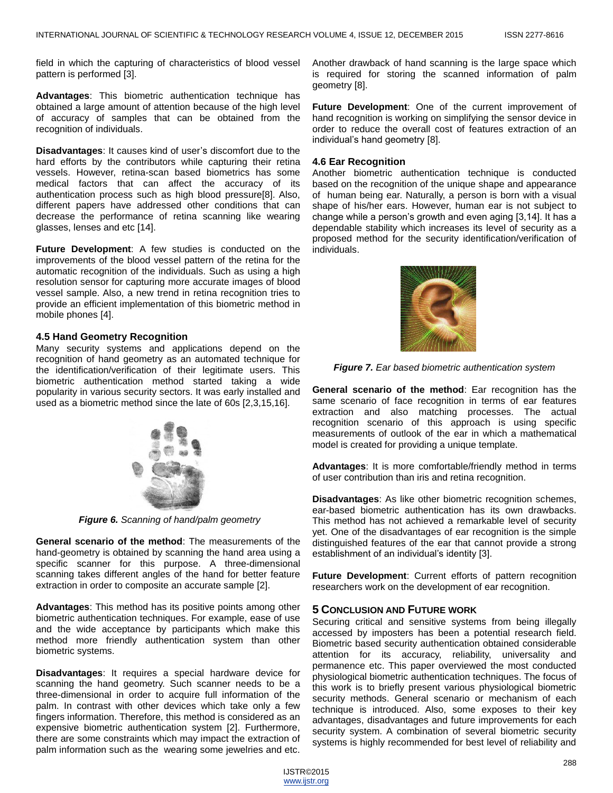field in which the capturing of characteristics of blood vessel pattern is performed [3].

**Advantages**: This biometric authentication technique has obtained a large amount of attention because of the high level of accuracy of samples that can be obtained from the recognition of individuals.

**Disadvantages**: It causes kind of user's discomfort due to the hard efforts by the contributors while capturing their retina vessels. However, retina-scan based biometrics has some medical factors that can affect the accuracy of its authentication process such as high blood pressure[8]. Also, different papers have addressed other conditions that can decrease the performance of retina scanning like wearing glasses, lenses and etc [14].

**Future Development**: A few studies is conducted on the improvements of the blood vessel pattern of the retina for the automatic recognition of the individuals. Such as using a high resolution sensor for capturing more accurate images of blood vessel sample. Also, a new trend in retina recognition tries to provide an efficient implementation of this biometric method in mobile phones [4].

#### **4.5 Hand Geometry Recognition**

Many security systems and applications depend on the recognition of hand geometry as an automated technique for the identification/verification of their legitimate users. This biometric authentication method started taking a wide popularity in various security sectors. It was early installed and used as a biometric method since the late of 60s [2,3,15,16].



*Figure 6. Scanning of hand/palm geometry* 

**General scenario of the method**: The measurements of the hand-geometry is obtained by scanning the hand area using a specific scanner for this purpose. A three-dimensional scanning takes different angles of the hand for better feature extraction in order to composite an accurate sample [2].

**Advantages**: This method has its positive points among other biometric authentication techniques. For example, ease of use and the wide acceptance by participants which make this method more friendly authentication system than other biometric systems.

**Disadvantages**: It requires a special hardware device for scanning the hand geometry. Such scanner needs to be a three-dimensional in order to acquire full information of the palm. In contrast with other devices which take only a few fingers information. Therefore, this method is considered as an expensive biometric authentication system [2]. Furthermore, there are some constraints which may impact the extraction of palm information such as the wearing some jewelries and etc.

Another drawback of hand scanning is the large space which is required for storing the scanned information of palm geometry [8].

**Future Development**: One of the current improvement of hand recognition is working on simplifying the sensor device in order to reduce the overall cost of features extraction of an individual's hand geometry [8].

#### **4.6 Ear Recognition**

Another biometric authentication technique is conducted based on the recognition of the unique shape and appearance of human being ear. Naturally, a person is born with a visual shape of his/her ears. However, human ear is not subject to change while a person's growth and even aging [3,14]. It has a dependable stability which increases its level of security as a proposed method for the security identification/verification of individuals.



*Figure 7. Ear based biometric authentication system*

**General scenario of the method**: Ear recognition has the same scenario of face recognition in terms of ear features extraction and also matching processes. The actual recognition scenario of this approach is using specific measurements of outlook of the ear in which a mathematical model is created for providing a unique template.

**Advantages**: It is more comfortable/friendly method in terms of user contribution than iris and retina recognition.

**Disadvantages**: As like other biometric recognition schemes, ear-based biometric authentication has its own drawbacks. This method has not achieved a remarkable level of security yet. One of the disadvantages of ear recognition is the simple distinguished features of the ear that cannot provide a strong establishment of an individual's identity [3].

**Future Development**: Current efforts of pattern recognition researchers work on the development of ear recognition.

#### **5 CONCLUSION AND FUTURE WORK**

Securing critical and sensitive systems from being illegally accessed by imposters has been a potential research field. Biometric based security authentication obtained considerable attention for its accuracy, reliability, universality and permanence etc. This paper overviewed the most conducted physiological biometric authentication techniques. The focus of this work is to briefly present various physiological biometric security methods. General scenario or mechanism of each technique is introduced. Also, some exposes to their key advantages, disadvantages and future improvements for each security system. A combination of several biometric security systems is highly recommended for best level of reliability and